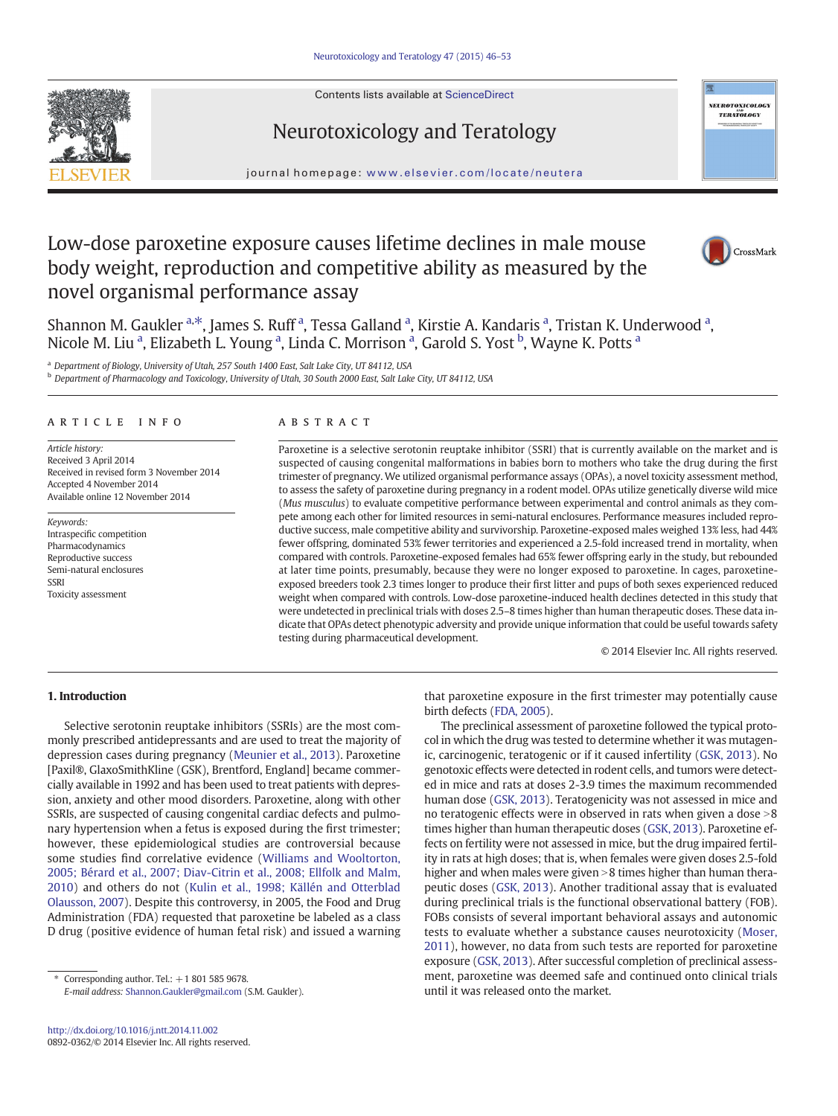Contents lists available at ScienceDirect







#### journal homepage: <www.elsevier.com/locate/neutera>

# Low-dose paroxetine exposure causes lifetime declines in male mouse body weight, reproduction and competitive ability as measured by the novel organismal performance assay



Shannon M. Gaukler <sup>a,\*</sup>, James S. Ruff <sup>a</sup>, Tessa Galland <sup>a</sup>, Kirstie A. Kandaris <sup>a</sup>, Tristan K. Underwood <sup>a</sup>, Nicole M. Liu <sup>a</sup>, Elizabeth L. Young <sup>a</sup>, Linda C. Morrison <sup>a</sup>, Garold S. Yost <sup>b</sup>, Wayne K. Potts <sup>a</sup>

a Department of Biology, University of Utah, 257 South 1400 East, Salt Lake City, UT 84112, USA

**b** Department of Pharmacology and Toxicology, University of Utah, 30 South 2000 East, Salt Lake City, UT 84112, USA

#### article info abstract

Article history: Received 3 April 2014 Received in revised form 3 November 2014 Accepted 4 November 2014 Available online 12 November 2014

Keywords: Intraspecific competition Pharmacodynamics Reproductive success Semi-natural enclosures **SSRI** Toxicity assessment

Paroxetine is a selective serotonin reuptake inhibitor (SSRI) that is currently available on the market and is suspected of causing congenital malformations in babies born to mothers who take the drug during the first trimester of pregnancy. We utilized organismal performance assays (OPAs), a novel toxicity assessment method, to assess the safety of paroxetine during pregnancy in a rodent model. OPAs utilize genetically diverse wild mice (Mus musculus) to evaluate competitive performance between experimental and control animals as they compete among each other for limited resources in semi-natural enclosures. Performance measures included reproductive success, male competitive ability and survivorship. Paroxetine-exposed males weighed 13% less, had 44% fewer offspring, dominated 53% fewer territories and experienced a 2.5-fold increased trend in mortality, when compared with controls. Paroxetine-exposed females had 65% fewer offspring early in the study, but rebounded at later time points, presumably, because they were no longer exposed to paroxetine. In cages, paroxetineexposed breeders took 2.3 times longer to produce their first litter and pups of both sexes experienced reduced weight when compared with controls. Low-dose paroxetine-induced health declines detected in this study that were undetected in preclinical trials with doses 2.5–8 times higher than human therapeutic doses. These data indicate that OPAs detect phenotypic adversity and provide unique information that could be useful towards safety testing during pharmaceutical development.

© 2014 Elsevier Inc. All rights reserved.

# 1. Introduction

Selective serotonin reuptake inhibitors (SSRIs) are the most commonly prescribed antidepressants and are used to treat the majority of depression cases during pregnancy [\(Meunier et al., 2013\)](#page-7-0). Paroxetine [Paxil®, GlaxoSmithKline (GSK), Brentford, England] became commercially available in 1992 and has been used to treat patients with depression, anxiety and other mood disorders. Paroxetine, along with other SSRIs, are suspected of causing congenital cardiac defects and pulmonary hypertension when a fetus is exposed during the first trimester; however, these epidemiological studies are controversial because some studies find correlative evidence ([Williams and Wooltorton,](#page-7-0) [2005; Bérard et al., 2007; Diav-Citrin et al., 2008; Ellfolk and Malm,](#page-7-0) [2010](#page-7-0)) and others do not ([Kulin et al., 1998; Källén and Otterblad](#page-7-0) [Olausson, 2007](#page-7-0)). Despite this controversy, in 2005, the Food and Drug Administration (FDA) requested that paroxetine be labeled as a class D drug (positive evidence of human fetal risk) and issued a warning

 $*$  Corresponding author. Tel.:  $+18015859678$ . E-mail address: [Shannon.Gaukler@gmail.com](mailto:Shannon.Gaukler@gmail.com) (S.M. Gaukler). that paroxetine exposure in the first trimester may potentially cause birth defects ([FDA, 2005\)](#page-6-0).

The preclinical assessment of paroxetine followed the typical protocol in which the drug was tested to determine whether it was mutagenic, carcinogenic, teratogenic or if it caused infertility ([GSK, 2013\)](#page-6-0). No genotoxic effects were detected in rodent cells, and tumors were detected in mice and rats at doses 2-3.9 times the maximum recommended human dose [\(GSK, 2013\)](#page-6-0). Teratogenicity was not assessed in mice and no teratogenic effects were in observed in rats when given a dose  $>8$ times higher than human therapeutic doses [\(GSK, 2013](#page-6-0)). Paroxetine effects on fertility were not assessed in mice, but the drug impaired fertility in rats at high doses; that is, when females were given doses 2.5-fold higher and when males were given  $>8$  times higher than human therapeutic doses ([GSK, 2013](#page-6-0)). Another traditional assay that is evaluated during preclinical trials is the functional observational battery (FOB). FOBs consists of several important behavioral assays and autonomic tests to evaluate whether a substance causes neurotoxicity ([Moser,](#page-7-0) [2011](#page-7-0)), however, no data from such tests are reported for paroxetine exposure [\(GSK, 2013](#page-6-0)). After successful completion of preclinical assessment, paroxetine was deemed safe and continued onto clinical trials until it was released onto the market.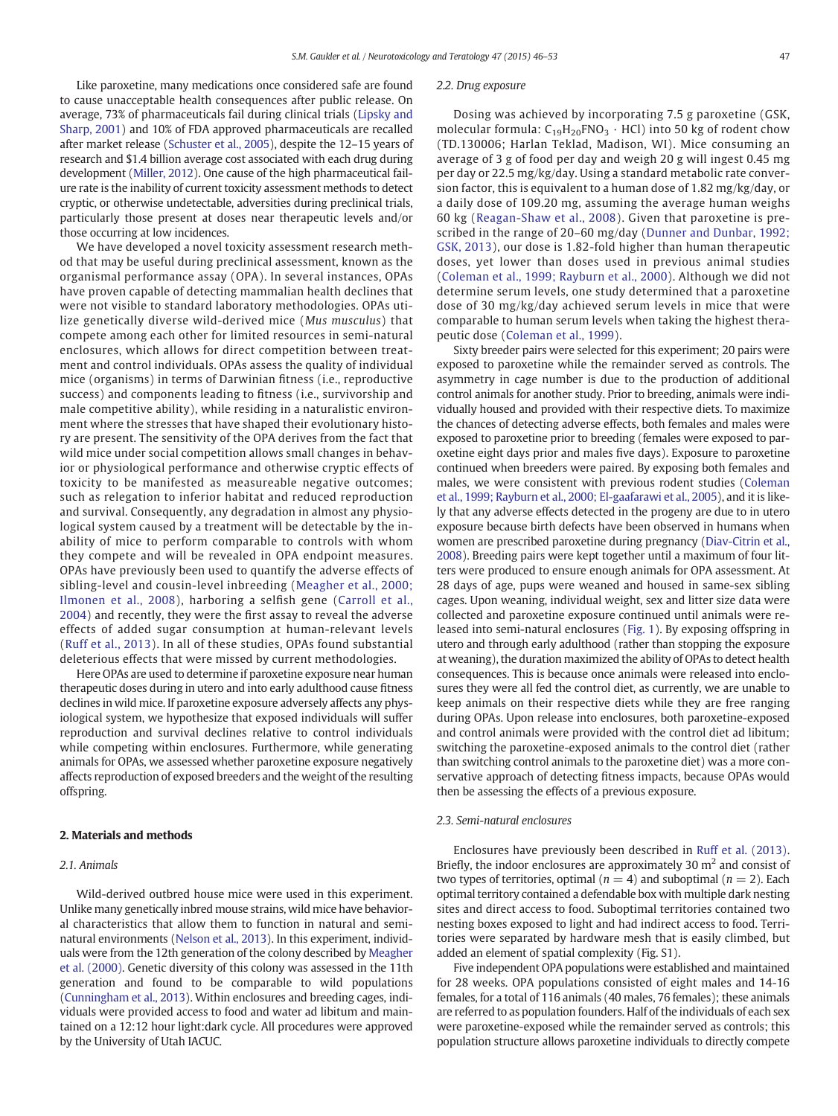Like paroxetine, many medications once considered safe are found to cause unacceptable health consequences after public release. On average, 73% of pharmaceuticals fail during clinical trials ([Lipsky and](#page-7-0) [Sharp, 2001](#page-7-0)) and 10% of FDA approved pharmaceuticals are recalled after market release ([Schuster et al., 2005\)](#page-7-0), despite the 12–15 years of research and \$1.4 billion average cost associated with each drug during development ([Miller, 2012](#page-7-0)). One cause of the high pharmaceutical failure rate is the inability of current toxicity assessment methods to detect cryptic, or otherwise undetectable, adversities during preclinical trials, particularly those present at doses near therapeutic levels and/or those occurring at low incidences.

We have developed a novel toxicity assessment research method that may be useful during preclinical assessment, known as the organismal performance assay (OPA). In several instances, OPAs have proven capable of detecting mammalian health declines that were not visible to standard laboratory methodologies. OPAs utilize genetically diverse wild-derived mice (Mus musculus) that compete among each other for limited resources in semi-natural enclosures, which allows for direct competition between treatment and control individuals. OPAs assess the quality of individual mice (organisms) in terms of Darwinian fitness (i.e., reproductive success) and components leading to fitness (i.e., survivorship and male competitive ability), while residing in a naturalistic environment where the stresses that have shaped their evolutionary history are present. The sensitivity of the OPA derives from the fact that wild mice under social competition allows small changes in behavior or physiological performance and otherwise cryptic effects of toxicity to be manifested as measureable negative outcomes; such as relegation to inferior habitat and reduced reproduction and survival. Consequently, any degradation in almost any physiological system caused by a treatment will be detectable by the inability of mice to perform comparable to controls with whom they compete and will be revealed in OPA endpoint measures. OPAs have previously been used to quantify the adverse effects of sibling-level and cousin-level inbreeding ([Meagher et al., 2000;](#page-7-0) [Ilmonen et al., 2008\)](#page-7-0), harboring a selfish gene ([Carroll et al.,](#page-6-0) [2004\)](#page-6-0) and recently, they were the first assay to reveal the adverse effects of added sugar consumption at human-relevant levels [\(Ruff et al., 2013\)](#page-7-0). In all of these studies, OPAs found substantial deleterious effects that were missed by current methodologies.

Here OPAs are used to determine if paroxetine exposure near human therapeutic doses during in utero and into early adulthood cause fitness declines in wild mice. If paroxetine exposure adversely affects any physiological system, we hypothesize that exposed individuals will suffer reproduction and survival declines relative to control individuals while competing within enclosures. Furthermore, while generating animals for OPAs, we assessed whether paroxetine exposure negatively affects reproduction of exposed breeders and the weight of the resulting offspring.

#### 2. Materials and methods

#### 2.1. Animals

Wild-derived outbred house mice were used in this experiment. Unlike many genetically inbred mouse strains, wild mice have behavioral characteristics that allow them to function in natural and seminatural environments ([Nelson et al., 2013\)](#page-7-0). In this experiment, individuals were from the 12th generation of the colony described by [Meagher](#page-7-0) [et al. \(2000\).](#page-7-0) Genetic diversity of this colony was assessed in the 11th generation and found to be comparable to wild populations [\(Cunningham et al., 2013\)](#page-6-0). Within enclosures and breeding cages, individuals were provided access to food and water ad libitum and maintained on a 12:12 hour light:dark cycle. All procedures were approved by the University of Utah IACUC.

# 2.2. Drug exposure

Dosing was achieved by incorporating 7.5 g paroxetine (GSK, molecular formula:  $C_{19}H_{20}FNO_3 \cdot HCl$  into 50 kg of rodent chow (TD.130006; Harlan Teklad, Madison, WI). Mice consuming an average of 3 g of food per day and weigh 20 g will ingest 0.45 mg per day or 22.5 mg/kg/day. Using a standard metabolic rate conversion factor, this is equivalent to a human dose of 1.82 mg/kg/day, or a daily dose of 109.20 mg, assuming the average human weighs 60 kg ([Reagan-Shaw et al., 2008](#page-7-0)). Given that paroxetine is prescribed in the range of 20–60 mg/day ([Dunner and Dunbar, 1992;](#page-6-0) [GSK, 2013\)](#page-6-0), our dose is 1.82-fold higher than human therapeutic doses, yet lower than doses used in previous animal studies [\(Coleman et al., 1999; Rayburn et al., 2000\)](#page-6-0). Although we did not determine serum levels, one study determined that a paroxetine dose of 30 mg/kg/day achieved serum levels in mice that were comparable to human serum levels when taking the highest therapeutic dose ([Coleman et al., 1999\)](#page-6-0).

Sixty breeder pairs were selected for this experiment; 20 pairs were exposed to paroxetine while the remainder served as controls. The asymmetry in cage number is due to the production of additional control animals for another study. Prior to breeding, animals were individually housed and provided with their respective diets. To maximize the chances of detecting adverse effects, both females and males were exposed to paroxetine prior to breeding (females were exposed to paroxetine eight days prior and males five days). Exposure to paroxetine continued when breeders were paired. By exposing both females and males, we were consistent with previous rodent studies [\(Coleman](#page-6-0) [et al., 1999; Rayburn et al., 2000; El-gaafarawi et al., 2005\)](#page-6-0), and it is likely that any adverse effects detected in the progeny are due to in utero exposure because birth defects have been observed in humans when women are prescribed paroxetine during pregnancy ([Diav-Citrin et al.,](#page-6-0) [2008](#page-6-0)). Breeding pairs were kept together until a maximum of four litters were produced to ensure enough animals for OPA assessment. At 28 days of age, pups were weaned and housed in same-sex sibling cages. Upon weaning, individual weight, sex and litter size data were collected and paroxetine exposure continued until animals were released into semi-natural enclosures [\(Fig. 1\)](#page-2-0). By exposing offspring in utero and through early adulthood (rather than stopping the exposure at weaning), the duration maximized the ability of OPAs to detect health consequences. This is because once animals were released into enclosures they were all fed the control diet, as currently, we are unable to keep animals on their respective diets while they are free ranging during OPAs. Upon release into enclosures, both paroxetine-exposed and control animals were provided with the control diet ad libitum; switching the paroxetine-exposed animals to the control diet (rather than switching control animals to the paroxetine diet) was a more conservative approach of detecting fitness impacts, because OPAs would then be assessing the effects of a previous exposure.

# 2.3. Semi-natural enclosures

Enclosures have previously been described in [Ruff et al. \(2013\).](#page-7-0) Briefly, the indoor enclosures are approximately 30  $m<sup>2</sup>$  and consist of two types of territories, optimal ( $n = 4$ ) and suboptimal ( $n = 2$ ). Each optimal territory contained a defendable box with multiple dark nesting sites and direct access to food. Suboptimal territories contained two nesting boxes exposed to light and had indirect access to food. Territories were separated by hardware mesh that is easily climbed, but added an element of spatial complexity (Fig. S1).

Five independent OPA populations were established and maintained for 28 weeks. OPA populations consisted of eight males and 14-16 females, for a total of 116 animals (40 males, 76 females); these animals are referred to as population founders. Half of the individuals of each sex were paroxetine-exposed while the remainder served as controls; this population structure allows paroxetine individuals to directly compete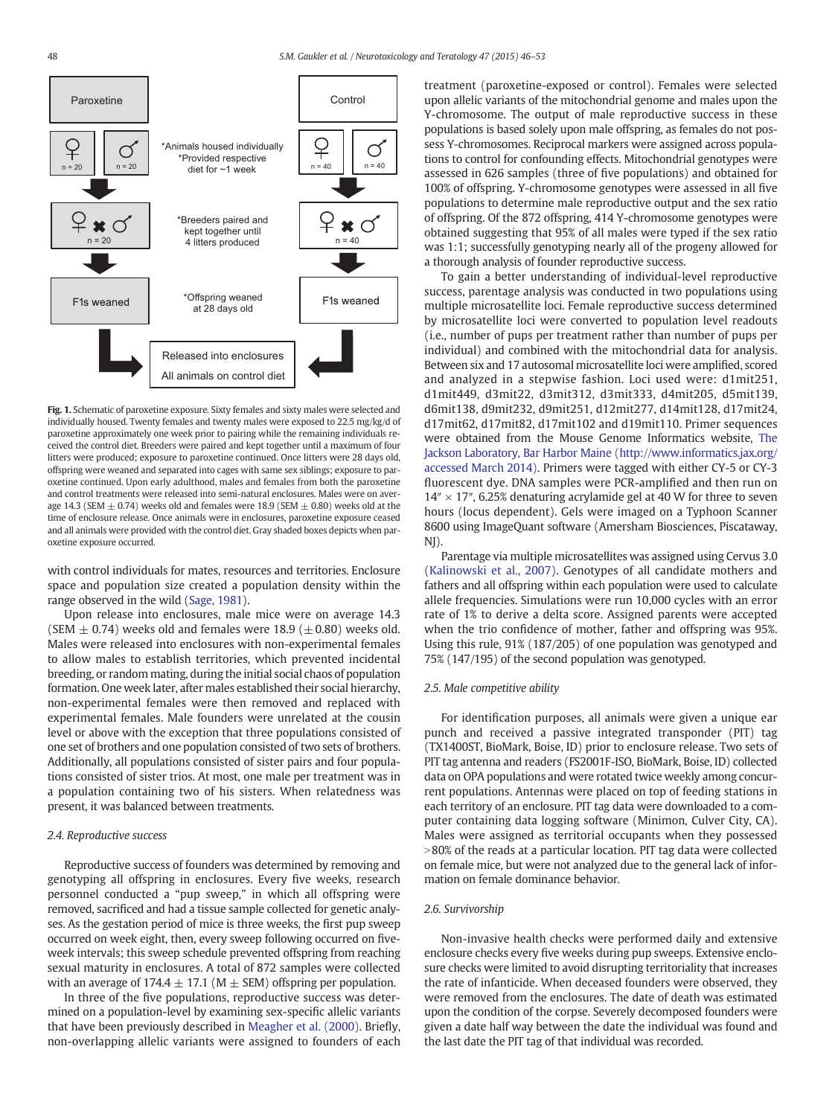<span id="page-2-0"></span>

Fig. 1. Schematic of paroxetine exposure. Sixty females and sixty males were selected and individually housed. Twenty females and twenty males were exposed to 22.5 mg/kg/d of paroxetine approximately one week prior to pairing while the remaining individuals received the control diet. Breeders were paired and kept together until a maximum of four litters were produced; exposure to paroxetine continued. Once litters were 28 days old, offspring were weaned and separated into cages with same sex siblings; exposure to paroxetine continued. Upon early adulthood, males and females from both the paroxetine and control treatments were released into semi-natural enclosures. Males were on average 14.3 (SEM  $\pm$  0.74) weeks old and females were 18.9 (SEM  $\pm$  0.80) weeks old at the time of enclosure release. Once animals were in enclosures, paroxetine exposure ceased and all animals were provided with the control diet. Gray shaded boxes depicts when paroxetine exposure occurred.

with control individuals for mates, resources and territories. Enclosure space and population size created a population density within the range observed in the wild [\(Sage, 1981](#page-7-0)).

Upon release into enclosures, male mice were on average 14.3 (SEM  $\pm$  0.74) weeks old and females were 18.9 ( $\pm$ 0.80) weeks old. Males were released into enclosures with non-experimental females to allow males to establish territories, which prevented incidental breeding, or random mating, during the initial social chaos of population formation. One week later, after males established their social hierarchy, non-experimental females were then removed and replaced with experimental females. Male founders were unrelated at the cousin level or above with the exception that three populations consisted of one set of brothers and one population consisted of two sets of brothers. Additionally, all populations consisted of sister pairs and four populations consisted of sister trios. At most, one male per treatment was in a population containing two of his sisters. When relatedness was present, it was balanced between treatments.

# 2.4. Reproductive success

Reproductive success of founders was determined by removing and genotyping all offspring in enclosures. Every five weeks, research personnel conducted a "pup sweep," in which all offspring were removed, sacrificed and had a tissue sample collected for genetic analyses. As the gestation period of mice is three weeks, the first pup sweep occurred on week eight, then, every sweep following occurred on fiveweek intervals; this sweep schedule prevented offspring from reaching sexual maturity in enclosures. A total of 872 samples were collected with an average of 174.4  $\pm$  17.1 (M  $\pm$  SEM) offspring per population.

In three of the five populations, reproductive success was determined on a population-level by examining sex-specific allelic variants that have been previously described in [Meagher et al. \(2000\)](#page-7-0). Briefly, non-overlapping allelic variants were assigned to founders of each treatment (paroxetine-exposed or control). Females were selected upon allelic variants of the mitochondrial genome and males upon the Y-chromosome. The output of male reproductive success in these populations is based solely upon male offspring, as females do not possess Y-chromosomes. Reciprocal markers were assigned across populations to control for confounding effects. Mitochondrial genotypes were assessed in 626 samples (three of five populations) and obtained for 100% of offspring. Y-chromosome genotypes were assessed in all five populations to determine male reproductive output and the sex ratio of offspring. Of the 872 offspring, 414 Y-chromosome genotypes were obtained suggesting that 95% of all males were typed if the sex ratio was 1:1; successfully genotyping nearly all of the progeny allowed for a thorough analysis of founder reproductive success.

To gain a better understanding of individual-level reproductive success, parentage analysis was conducted in two populations using multiple microsatellite loci. Female reproductive success determined by microsatellite loci were converted to population level readouts (i.e., number of pups per treatment rather than number of pups per individual) and combined with the mitochondrial data for analysis. Between six and 17 autosomal microsatellite loci were amplified, scored and analyzed in a stepwise fashion. Loci used were: d1mit251, d1mit449, d3mit22, d3mit312, d3mit333, d4mit205, d5mit139, d6mit138, d9mit232, d9mit251, d12mit277, d14mit128, d17mit24, d17mit62, d17mit82, d17mit102 and d19mit110. Primer sequences were obtained from the Mouse Genome Informatics website, [The](#page-7-0) [Jackson Laboratory, Bar Harbor Maine \(http://www.informatics.jax.org/](#page-7-0) [accessed March 2014\)](#page-7-0). Primers were tagged with either CY-5 or CY-3 fluorescent dye. DNA samples were PCR-amplified and then run on  $14'' \times 17''$ , 6.25% denaturing acrylamide gel at 40 W for three to seven hours (locus dependent). Gels were imaged on a Typhoon Scanner 8600 using ImageQuant software (Amersham Biosciences, Piscataway,  $N$ ].

Parentage via multiple microsatellites was assigned using Cervus 3.0 [\(Kalinowski et al., 2007\)](#page-6-0). Genotypes of all candidate mothers and fathers and all offspring within each population were used to calculate allele frequencies. Simulations were run 10,000 cycles with an error rate of 1% to derive a delta score. Assigned parents were accepted when the trio confidence of mother, father and offspring was 95%. Using this rule, 91% (187/205) of one population was genotyped and 75% (147/195) of the second population was genotyped.

#### 2.5. Male competitive ability

For identification purposes, all animals were given a unique ear punch and received a passive integrated transponder (PIT) tag (TX1400ST, BioMark, Boise, ID) prior to enclosure release. Two sets of PIT tag antenna and readers (FS2001F-ISO, BioMark, Boise, ID) collected data on OPA populations and were rotated twice weekly among concurrent populations. Antennas were placed on top of feeding stations in each territory of an enclosure. PIT tag data were downloaded to a computer containing data logging software (Minimon, Culver City, CA). Males were assigned as territorial occupants when they possessed  $>$ 80% of the reads at a particular location. PIT tag data were collected on female mice, but were not analyzed due to the general lack of information on female dominance behavior.

#### 2.6. Survivorship

Non-invasive health checks were performed daily and extensive enclosure checks every five weeks during pup sweeps. Extensive enclosure checks were limited to avoid disrupting territoriality that increases the rate of infanticide. When deceased founders were observed, they were removed from the enclosures. The date of death was estimated upon the condition of the corpse. Severely decomposed founders were given a date half way between the date the individual was found and the last date the PIT tag of that individual was recorded.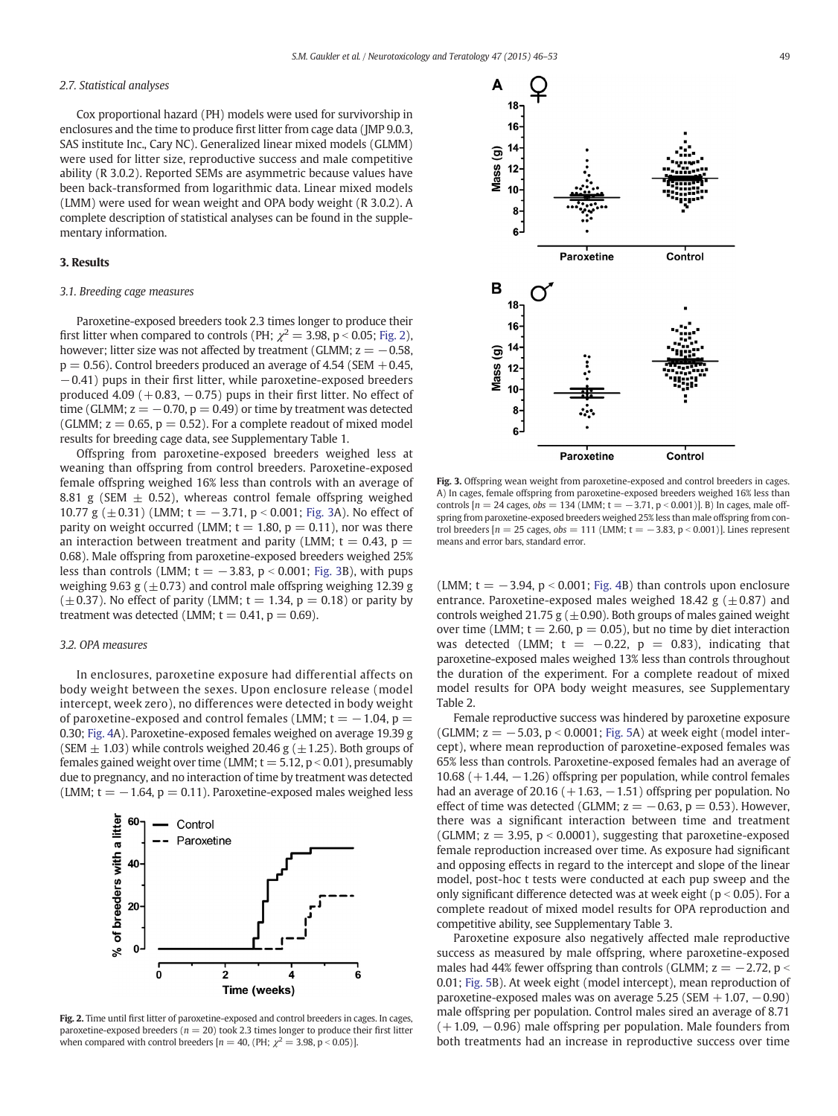# 2.7. Statistical analyses

Cox proportional hazard (PH) models were used for survivorship in enclosures and the time to produce first litter from cage data (JMP 9.0.3, SAS institute Inc., Cary NC). Generalized linear mixed models (GLMM) were used for litter size, reproductive success and male competitive ability (R 3.0.2). Reported SEMs are asymmetric because values have been back-transformed from logarithmic data. Linear mixed models (LMM) were used for wean weight and OPA body weight (R 3.0.2). A complete description of statistical analyses can be found in the supplementary information.

# 3. Results

# 3.1. Breeding cage measures

Paroxetine-exposed breeders took 2.3 times longer to produce their first litter when compared to controls (PH;  $\chi^2 = 3.98$ , p < 0.05; Fig. 2), however; litter size was not affected by treatment (GLMM;  $z = -0.58$ ,  $p = 0.56$ ). Control breeders produced an average of 4.54 (SEM  $+0.45$ , −0.41) pups in their first litter, while paroxetine-exposed breeders produced 4.09 ( $+0.83$ ,  $-0.75$ ) pups in their first litter. No effect of time (GLMM;  $z = -0.70$ ,  $p = 0.49$ ) or time by treatment was detected (GLMM;  $z = 0.65$ ,  $p = 0.52$ ). For a complete readout of mixed model results for breeding cage data, see Supplementary Table 1.

Offspring from paroxetine-exposed breeders weighed less at weaning than offspring from control breeders. Paroxetine-exposed female offspring weighed 16% less than controls with an average of 8.81 g (SEM  $\pm$  0.52), whereas control female offspring weighed 10.77 g ( $\pm$ 0.31) (LMM; t = -3.71, p < 0.001; Fig. 3A). No effect of parity on weight occurred (LMM;  $t = 1.80$ ,  $p = 0.11$ ), nor was there an interaction between treatment and parity (LMM;  $t = 0.43$ ,  $p =$ 0.68). Male offspring from paroxetine-exposed breeders weighed 25% less than controls (LMM;  $t = -3.83$ ,  $p < 0.001$ ; Fig. 3B), with pups weighing 9.63 g ( $\pm$  0.73) and control male offspring weighing 12.39 g  $(±0.37)$ . No effect of parity (LMM; t = 1.34, p = 0.18) or parity by treatment was detected (LMM;  $t = 0.41$ ,  $p = 0.69$ ).

# 3.2. OPA measures

In enclosures, paroxetine exposure had differential affects on body weight between the sexes. Upon enclosure release (model intercept, week zero), no differences were detected in body weight of paroxetine-exposed and control females (LMM;  $t = -1.04$ ,  $p =$ 0.30; [Fig. 4A](#page-4-0)). Paroxetine-exposed females weighed on average 19.39 g (SEM  $\pm$  1.03) while controls weighed 20.46 g ( $\pm$  1.25). Both groups of females gained weight over time (LMM;  $t = 5.12$ ,  $p < 0.01$ ), presumably due to pregnancy, and no interaction of time by treatment was detected (LMM;  $t = -1.64$ ,  $p = 0.11$ ). Paroxetine-exposed males weighed less



Fig. 2. Time until first litter of paroxetine-exposed and control breeders in cages. In cages, paroxetine-exposed breeders ( $n = 20$ ) took 2.3 times longer to produce their first litter when compared with control breeders  $[n = 40, (PH; \chi^2 = 3.98, p < 0.05)]$ .



Fig. 3. Offspring wean weight from paroxetine-exposed and control breeders in cages. A) In cages, female offspring from paroxetine-exposed breeders weighed 16% less than controls  $[n = 24 \text{ cages}, \text{obs} = 134 \text{ (LMM}; t = -3.71, p < 0.001)\text{].}$  B) In cages, male offspring from paroxetine-exposed breeders weighed 25% less than male offspring from control breeders [ $n = 25$  cages,  $obs = 111$  (LMM;  $t = -3.83$ ,  $p < 0.001$ )]. Lines represent means and error bars, standard error.

(LMM;  $t = -3.94$ ,  $p < 0.001$ ; [Fig. 4](#page-4-0)B) than controls upon enclosure entrance. Paroxetine-exposed males weighed 18.42 g ( $\pm$ 0.87) and controls weighed 21.75 g ( $\pm$  0.90). Both groups of males gained weight over time (LMM;  $t = 2.60$ ,  $p = 0.05$ ), but no time by diet interaction was detected (LMM;  $t = -0.22$ ,  $p = 0.83$ ), indicating that paroxetine-exposed males weighed 13% less than controls throughout the duration of the experiment. For a complete readout of mixed model results for OPA body weight measures, see Supplementary Table 2.

Female reproductive success was hindered by paroxetine exposure (GLMM;  $z = -5.03$ , p < 0.0001; [Fig. 5A](#page-4-0)) at week eight (model intercept), where mean reproduction of paroxetine-exposed females was 65% less than controls. Paroxetine-exposed females had an average of 10.68 ( $+1.44$ ,  $-1.26$ ) offspring per population, while control females had an average of 20.16 ( $+1.63$ ,  $-1.51$ ) offspring per population. No effect of time was detected (GLMM;  $z = -0.63$ ,  $p = 0.53$ ). However, there was a significant interaction between time and treatment (GLMM;  $z = 3.95$ ,  $p < 0.0001$ ), suggesting that paroxetine-exposed female reproduction increased over time. As exposure had significant and opposing effects in regard to the intercept and slope of the linear model, post-hoc t tests were conducted at each pup sweep and the only significant difference detected was at week eight ( $p < 0.05$ ). For a complete readout of mixed model results for OPA reproduction and competitive ability, see Supplementary Table 3.

Paroxetine exposure also negatively affected male reproductive success as measured by male offspring, where paroxetine-exposed males had 44% fewer offspring than controls (GLMM;  $z = -2.72$ , p  $\le$ 0.01; [Fig. 5B](#page-4-0)). At week eight (model intercept), mean reproduction of paroxetine-exposed males was on average  $5.25$  (SEM  $+1.07, -0.90$ ) male offspring per population. Control males sired an average of 8.71  $(+1.09, -0.96)$  male offspring per population. Male founders from both treatments had an increase in reproductive success over time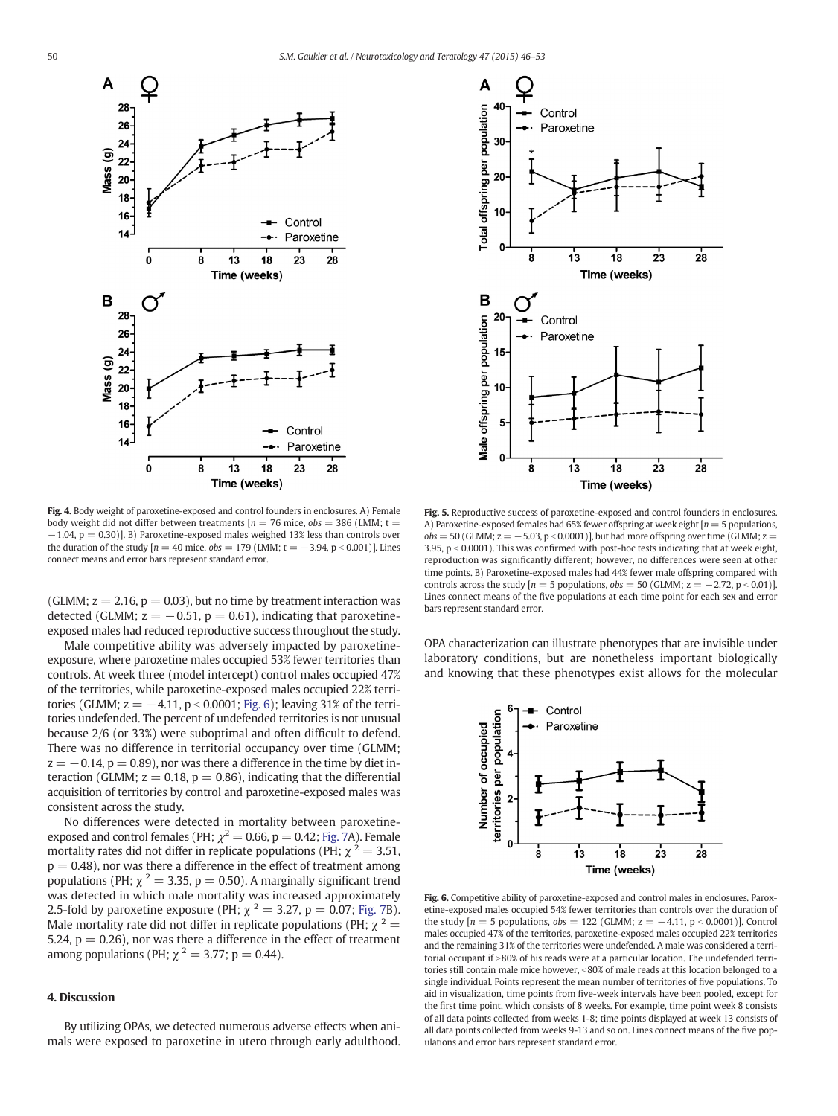<span id="page-4-0"></span>

Fig. 4. Body weight of paroxetine-exposed and control founders in enclosures. A) Female body weight did not differ between treatments [ $n = 76$  mice,  $obs = 386$  (LMM; t =  $-1.04$ ,  $p = 0.30$ ]. B) Paroxetine-exposed males weighed 13% less than controls over the duration of the study  $[n = 40$  mice,  $obs = 179$  (LMM;  $t = -3.94$ ,  $p < 0.001$ )]. Lines connect means and error bars represent standard error.

(GLMM;  $z = 2.16$ ,  $p = 0.03$ ), but no time by treatment interaction was detected (GLMM;  $z = -0.51$ ,  $p = 0.61$ ), indicating that paroxetineexposed males had reduced reproductive success throughout the study.

Male competitive ability was adversely impacted by paroxetineexposure, where paroxetine males occupied 53% fewer territories than controls. At week three (model intercept) control males occupied 47% of the territories, while paroxetine-exposed males occupied 22% territories (GLMM;  $z = -4.11$ ,  $p < 0.0001$ ; Fig. 6); leaving 31% of the territories undefended. The percent of undefended territories is not unusual because 2/6 (or 33%) were suboptimal and often difficult to defend. There was no difference in territorial occupancy over time (GLMM;  $z = -0.14$ ,  $p = 0.89$ ), nor was there a difference in the time by diet interaction (GLMM;  $z = 0.18$ ,  $p = 0.86$ ), indicating that the differential acquisition of territories by control and paroxetine-exposed males was consistent across the study.

No differences were detected in mortality between paroxetineexposed and control females (PH;  $\chi^2$  = 0.66, p = 0.42; [Fig. 7](#page-5-0)A). Female mortality rates did not differ in replicate populations (PH;  $\chi^2 = 3.51$ ,  $p = 0.48$ ), nor was there a difference in the effect of treatment among populations (PH;  $\chi^2 = 3.35$ , p = 0.50). A marginally significant trend was detected in which male mortality was increased approximately 2.5-fold by paroxetine exposure (PH;  $\chi^2 = 3.27$ , p = 0.07; [Fig. 7B](#page-5-0)). Male mortality rate did not differ in replicate populations (PH;  $\chi^2$  = 5.24,  $p = 0.26$ ), nor was there a difference in the effect of treatment among populations (PH;  $\chi^2$  = 3.77; p = 0.44).

# 4. Discussion

By utilizing OPAs, we detected numerous adverse effects when animals were exposed to paroxetine in utero through early adulthood.



Fig. 5. Reproductive success of paroxetine-exposed and control founders in enclosures. A) Paroxetine-exposed females had 65% fewer offspring at week eight  $[n = 5$  populations,  $obs = 50$  (GLMM;  $z = -5.03$ , p < 0.0001)], but had more offspring over time (GLMM;  $z =$ 3.95,  $p < 0.0001$ ). This was confirmed with post-hoc tests indicating that at week eight, reproduction was significantly different; however, no differences were seen at other time points. B) Paroxetine-exposed males had 44% fewer male offspring compared with controls across the study  $[n = 5$  populations,  $obs = 50$  (GLMM;  $z = -2.72$ ,  $p < 0.01$ )]. Lines connect means of the five populations at each time point for each sex and error bars represent standard error.

OPA characterization can illustrate phenotypes that are invisible under laboratory conditions, but are nonetheless important biologically and knowing that these phenotypes exist allows for the molecular



Fig. 6. Competitive ability of paroxetine-exposed and control males in enclosures. Paroxetine-exposed males occupied 54% fewer territories than controls over the duration of the study  $[n = 5$  populations,  $obs = 122$  (GLMM;  $z = -4.11$ ,  $p < 0.0001$ )]. Control males occupied 47% of the territories, paroxetine-exposed males occupied 22% territories and the remaining 31% of the territories were undefended. A male was considered a territorial occupant if  $>80\%$  of his reads were at a particular location. The undefended territories still contain male mice however, <80% of male reads at this location belonged to a single individual. Points represent the mean number of territories of five populations. To aid in visualization, time points from five-week intervals have been pooled, except for the first time point, which consists of 8 weeks. For example, time point week 8 consists of all data points collected from weeks 1-8; time points displayed at week 13 consists of all data points collected from weeks 9-13 and so on. Lines connect means of the five populations and error bars represent standard error.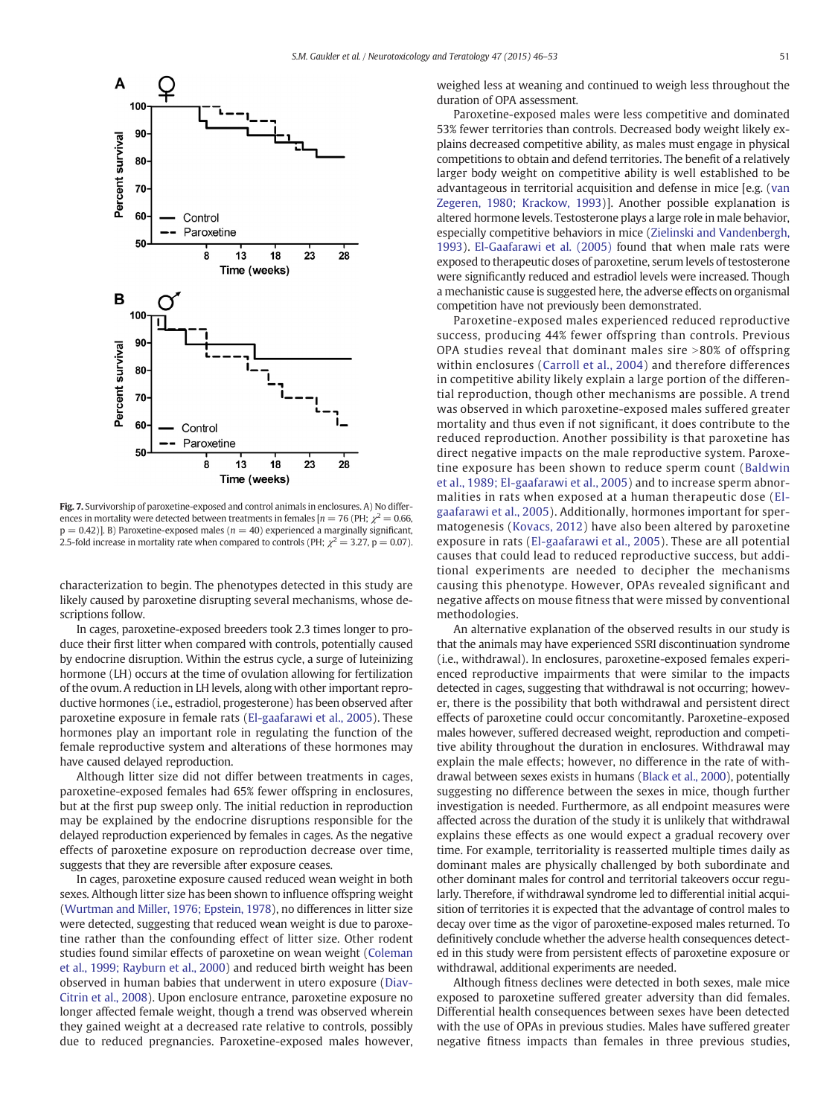<span id="page-5-0"></span>

Fig. 7. Survivorship of paroxetine-exposed and control animals in enclosures. A) No differences in mortality were detected between treatments in females  $[n = 76$  (PH;  $\gamma^2 = 0.66$ ,  $p = 0.42$ ]. B) Paroxetine-exposed males ( $n = 40$ ) experienced a marginally significant, 2.5-fold increase in mortality rate when compared to controls (PH;  $\chi^2 = 3.27$ , p = 0.07).

characterization to begin. The phenotypes detected in this study are likely caused by paroxetine disrupting several mechanisms, whose descriptions follow.

In cages, paroxetine-exposed breeders took 2.3 times longer to produce their first litter when compared with controls, potentially caused by endocrine disruption. Within the estrus cycle, a surge of luteinizing hormone (LH) occurs at the time of ovulation allowing for fertilization of the ovum. A reduction in LH levels, along with other important reproductive hormones (i.e., estradiol, progesterone) has been observed after paroxetine exposure in female rats [\(El-gaafarawi et al., 2005\)](#page-6-0). These hormones play an important role in regulating the function of the female reproductive system and alterations of these hormones may have caused delayed reproduction.

Although litter size did not differ between treatments in cages, paroxetine-exposed females had 65% fewer offspring in enclosures, but at the first pup sweep only. The initial reduction in reproduction may be explained by the endocrine disruptions responsible for the delayed reproduction experienced by females in cages. As the negative effects of paroxetine exposure on reproduction decrease over time, suggests that they are reversible after exposure ceases.

In cages, paroxetine exposure caused reduced wean weight in both sexes. Although litter size has been shown to influence offspring weight [\(Wurtman and Miller, 1976; Epstein, 1978\)](#page-7-0), no differences in litter size were detected, suggesting that reduced wean weight is due to paroxetine rather than the confounding effect of litter size. Other rodent studies found similar effects of paroxetine on wean weight ([Coleman](#page-6-0) [et al., 1999; Rayburn et al., 2000](#page-6-0)) and reduced birth weight has been observed in human babies that underwent in utero exposure ([Diav-](#page-6-0)[Citrin et al., 2008\)](#page-6-0). Upon enclosure entrance, paroxetine exposure no longer affected female weight, though a trend was observed wherein they gained weight at a decreased rate relative to controls, possibly due to reduced pregnancies. Paroxetine-exposed males however, weighed less at weaning and continued to weigh less throughout the duration of OPA assessment.

Paroxetine-exposed males were less competitive and dominated 53% fewer territories than controls. Decreased body weight likely explains decreased competitive ability, as males must engage in physical competitions to obtain and defend territories. The benefit of a relatively larger body weight on competitive ability is well established to be advantageous in territorial acquisition and defense in mice [e.g. [\(van](#page-7-0) [Zegeren, 1980; Krackow, 1993\)](#page-7-0)]. Another possible explanation is altered hormone levels. Testosterone plays a large role in male behavior, especially competitive behaviors in mice ([Zielinski and Vandenbergh,](#page-7-0) [1993\)](#page-7-0). [El-Gaafarawi et al. \(2005\)](#page-6-0) found that when male rats were exposed to therapeutic doses of paroxetine, serum levels of testosterone were significantly reduced and estradiol levels were increased. Though a mechanistic cause is suggested here, the adverse effects on organismal competition have not previously been demonstrated.

Paroxetine-exposed males experienced reduced reproductive success, producing 44% fewer offspring than controls. Previous OPA studies reveal that dominant males sire  $>80\%$  of offspring within enclosures ([Carroll et al., 2004](#page-6-0)) and therefore differences in competitive ability likely explain a large portion of the differential reproduction, though other mechanisms are possible. A trend was observed in which paroxetine-exposed males suffered greater mortality and thus even if not significant, it does contribute to the reduced reproduction. Another possibility is that paroxetine has direct negative impacts on the male reproductive system. Paroxetine exposure has been shown to reduce sperm count ([Baldwin](#page-6-0) [et al., 1989; El-gaafarawi et al., 2005](#page-6-0)) and to increase sperm abnormalities in rats when exposed at a human therapeutic dose ([El](#page-6-0)[gaafarawi et al., 2005\)](#page-6-0). Additionally, hormones important for spermatogenesis ([Kovacs, 2012\)](#page-6-0) have also been altered by paroxetine exposure in rats ([El-gaafarawi et al., 2005\)](#page-6-0). These are all potential causes that could lead to reduced reproductive success, but additional experiments are needed to decipher the mechanisms causing this phenotype. However, OPAs revealed significant and negative affects on mouse fitness that were missed by conventional methodologies.

An alternative explanation of the observed results in our study is that the animals may have experienced SSRI discontinuation syndrome (i.e., withdrawal). In enclosures, paroxetine-exposed females experienced reproductive impairments that were similar to the impacts detected in cages, suggesting that withdrawal is not occurring; however, there is the possibility that both withdrawal and persistent direct effects of paroxetine could occur concomitantly. Paroxetine-exposed males however, suffered decreased weight, reproduction and competitive ability throughout the duration in enclosures. Withdrawal may explain the male effects; however, no difference in the rate of withdrawal between sexes exists in humans ([Black et al., 2000](#page-6-0)), potentially suggesting no difference between the sexes in mice, though further investigation is needed. Furthermore, as all endpoint measures were affected across the duration of the study it is unlikely that withdrawal explains these effects as one would expect a gradual recovery over time. For example, territoriality is reasserted multiple times daily as dominant males are physically challenged by both subordinate and other dominant males for control and territorial takeovers occur regularly. Therefore, if withdrawal syndrome led to differential initial acquisition of territories it is expected that the advantage of control males to decay over time as the vigor of paroxetine-exposed males returned. To definitively conclude whether the adverse health consequences detected in this study were from persistent effects of paroxetine exposure or withdrawal, additional experiments are needed.

Although fitness declines were detected in both sexes, male mice exposed to paroxetine suffered greater adversity than did females. Differential health consequences between sexes have been detected with the use of OPAs in previous studies. Males have suffered greater negative fitness impacts than females in three previous studies,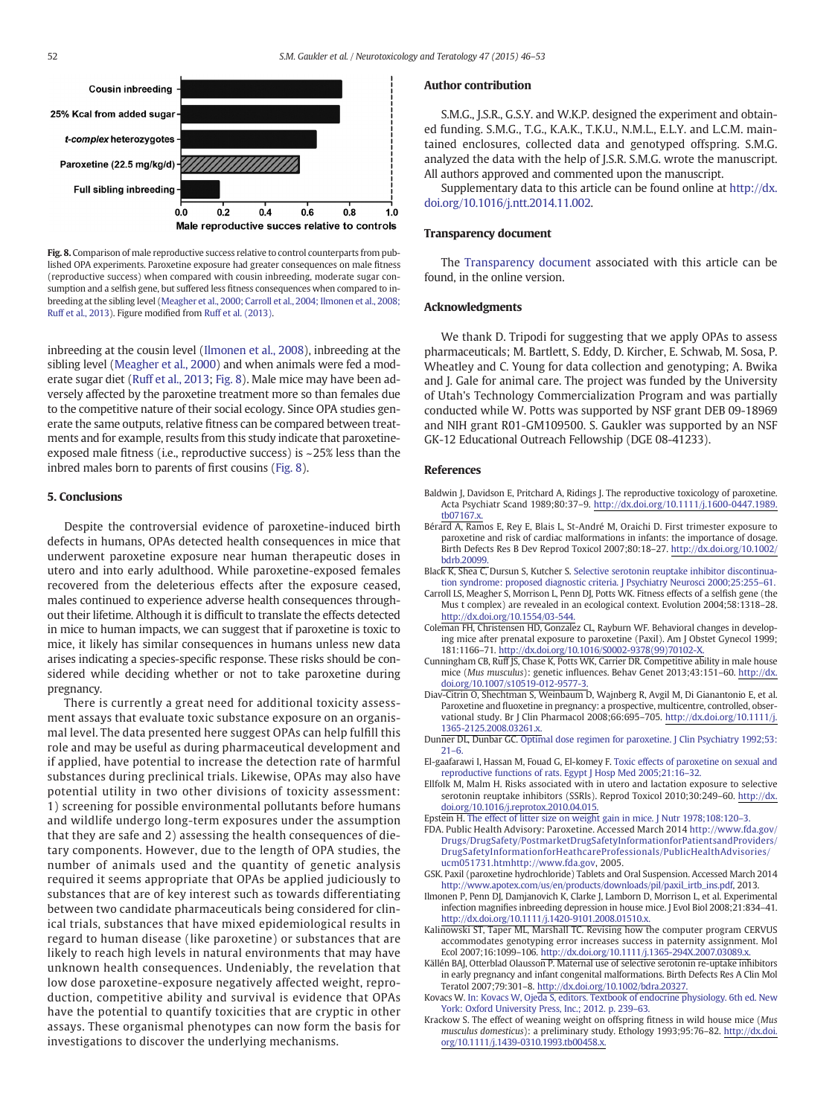<span id="page-6-0"></span>

Fig. 8. Comparison of male reproductive success relative to control counterparts from published OPA experiments. Paroxetine exposure had greater consequences on male fitness (reproductive success) when compared with cousin inbreeding, moderate sugar consumption and a selfish gene, but suffered less fitness consequences when compared to inbreeding at the sibling level ([Meagher et al., 2000; Carroll et al., 2004; Ilmonen et al., 2008;](#page-7-0) [Ruff et al., 2013\)](#page-7-0). Figure modified from [Ruff et al. \(2013\)](#page-7-0).

inbreeding at the cousin level (Ilmonen et al., 2008), inbreeding at the sibling level [\(Meagher et al., 2000](#page-7-0)) and when animals were fed a moderate sugar diet [\(Ruff et al., 2013;](#page-7-0) Fig. 8). Male mice may have been adversely affected by the paroxetine treatment more so than females due to the competitive nature of their social ecology. Since OPA studies generate the same outputs, relative fitness can be compared between treatments and for example, results from this study indicate that paroxetineexposed male fitness (i.e., reproductive success) is ~25% less than the inbred males born to parents of first cousins (Fig. 8).

### 5. Conclusions

Despite the controversial evidence of paroxetine-induced birth defects in humans, OPAs detected health consequences in mice that underwent paroxetine exposure near human therapeutic doses in utero and into early adulthood. While paroxetine-exposed females recovered from the deleterious effects after the exposure ceased, males continued to experience adverse health consequences throughout their lifetime. Although it is difficult to translate the effects detected in mice to human impacts, we can suggest that if paroxetine is toxic to mice, it likely has similar consequences in humans unless new data arises indicating a species-specific response. These risks should be considered while deciding whether or not to take paroxetine during pregnancy.

There is currently a great need for additional toxicity assessment assays that evaluate toxic substance exposure on an organismal level. The data presented here suggest OPAs can help fulfill this role and may be useful as during pharmaceutical development and if applied, have potential to increase the detection rate of harmful substances during preclinical trials. Likewise, OPAs may also have potential utility in two other divisions of toxicity assessment: 1) screening for possible environmental pollutants before humans and wildlife undergo long-term exposures under the assumption that they are safe and 2) assessing the health consequences of dietary components. However, due to the length of OPA studies, the number of animals used and the quantity of genetic analysis required it seems appropriate that OPAs be applied judiciously to substances that are of key interest such as towards differentiating between two candidate pharmaceuticals being considered for clinical trials, substances that have mixed epidemiological results in regard to human disease (like paroxetine) or substances that are likely to reach high levels in natural environments that may have unknown health consequences. Undeniably, the revelation that low dose paroxetine-exposure negatively affected weight, reproduction, competitive ability and survival is evidence that OPAs have the potential to quantify toxicities that are cryptic in other assays. These organismal phenotypes can now form the basis for investigations to discover the underlying mechanisms.

#### Author contribution

S.M.G., J.S.R., G.S.Y. and W.K.P. designed the experiment and obtained funding. S.M.G., T.G., K.A.K., T.K.U., N.M.L., E.L.Y. and L.C.M. maintained enclosures, collected data and genotyped offspring. S.M.G. analyzed the data with the help of J.S.R. S.M.G. wrote the manuscript. All authors approved and commented upon the manuscript.

Supplementary data to this article can be found online at [http://dx.](http://dx.doi.org/10.1016/j.ntt.2014.11.002) [doi.org/10.1016/j.ntt.2014.11.002.](http://dx.doi.org/10.1016/j.ntt.2014.11.002)

#### Transparency document

The [Transparency document](http://dx.doi.org/) associated with this article can be found, in the online version.

# Acknowledgments

We thank D. Tripodi for suggesting that we apply OPAs to assess pharmaceuticals; M. Bartlett, S. Eddy, D. Kircher, E. Schwab, M. Sosa, P. Wheatley and C. Young for data collection and genotyping; A. Bwika and J. Gale for animal care. The project was funded by the University of Utah's Technology Commercialization Program and was partially conducted while W. Potts was supported by NSF grant DEB 09-18969 and NIH grant R01-GM109500. S. Gaukler was supported by an NSF GK-12 Educational Outreach Fellowship (DGE 08-41233).

#### References

- Baldwin J, Davidson E, Pritchard A, Ridings J. The reproductive toxicology of paroxetine. Acta Psychiatr Scand 1989;80:37–9. http://dx.doi.org[/10.1111/j.1600-0447.1989.](http://dx.doi.org/10.1111/j.1600-0447.1989.tb07167.x) [tb07167.x.](http://dx.doi.org/10.1111/j.1600-0447.1989.tb07167.x)
- Bérard A, Ramos E, Rey E, Blais L, St-André M, Oraichi D. First trimester exposure to paroxetine and risk of cardiac malformations in infants: the importance of dosage. Birth Defects Res B Dev Reprod Toxicol 2007;80:18–27. http://dx.doi.org[/10.1002/](http://dx.doi.org/10.1002/bdrb.20099) bdrb.20099
- Black K, Shea C, Dursun S, Kutcher S. [Selective serotonin reuptake inhibitor discontinua](http://refhub.elsevier.com/S0892-0362(14)00182-2/rf0015)[tion syndrome: proposed diagnostic criteria. J Psychiatry Neurosci 2000;25:255](http://refhub.elsevier.com/S0892-0362(14)00182-2/rf0015)–61.
- Carroll LS, Meagher S, Morrison L, Penn DJ, Potts WK. Fitness effects of a selfish gene (the Mus t complex) are revealed in an ecological context. Evolution 2004;58:1318–28. http://dx.doi.org[/10.1554/03-544.](http://dx.doi.org/10.1554/03-544)
- Coleman FH, Christensen HD, Gonzalez CL, Rayburn WF. Behavioral changes in developing mice after prenatal exposure to paroxetine (Paxil). Am J Obstet Gynecol 1999; 181:1166–71. http://dx.doi.org[/10.1016/S0002-9378\(99\)70102-X.](http://dx.doi.org/10.1016/S0002-9378(99)70102-X)
- Cunningham CB, Ruff JS, Chase K, Potts WK, Carrier DR. Competitive ability in male house mice (Mus musculus): genetic influences. Behav Genet 2013;43:151–60. http://dx. doi.org/[10.1007/s10519-012-9577-3.](http://dx.doi.org/10.1007/s10519-012-9577-3)
- Diav-Citrin O, Shechtman S, Weinbaum D, Wajnberg R, Avgil M, Di Gianantonio E, et al. Paroxetine and fluoxetine in pregnancy: a prospective, multicentre, controlled, observational study. Br J Clin Pharmacol 2008;66:695–705. http://dx.doi.org/[10.1111/j.](http://dx.doi.org/10.1111/j.1365-2125.2008.03261.x) [1365-2125.2008.03261.x.](http://dx.doi.org/10.1111/j.1365-2125.2008.03261.x)
- Dunner DL, Dunbar GC. [Optimal dose regimen for paroxetine. J Clin Psychiatry 1992;53:](http://refhub.elsevier.com/S0892-0362(14)00182-2/rf0035) [21](http://refhub.elsevier.com/S0892-0362(14)00182-2/rf0035)–6.
- El-gaafarawi I, Hassan M, Fouad G, El-komey F. [Toxic effects of paroxetine on sexual and](http://refhub.elsevier.com/S0892-0362(14)00182-2/rf0040) [reproductive functions of rats. Egypt J Hosp Med 2005;21:16](http://refhub.elsevier.com/S0892-0362(14)00182-2/rf0040)–32.
- Ellfolk M, Malm H. Risks associated with in utero and lactation exposure to selective serotonin reuptake inhibitors (SSRIs). Reprod Toxicol 2010;30:249–60. http://dx. doi.org/[10.1016/j.reprotox.2010.04.015.](http://dx.doi.org/10.1016/j.reprotox.2010.04.015)
- Epstein H. [The effect of litter size on weight gain in mice. J Nutr 1978;108:120](http://refhub.elsevier.com/S0892-0362(14)00182-2/rf0050)–3.
- FDA. Public Health Advisory: Paroxetine. Accessed March 2014 [http://www.fda.gov/](http://www.fda.gov/Drugs/DrugSafety/PostmarketDrugSafetyInformationforPatientsandProviders/DrugSafetyInformationforHeathcareProfessionals/PublicHealthAdvisories/ucm051731.htmhttp://www.fda.gov) [Drugs/DrugSafety/PostmarketDrugSafetyInformationforPatientsandProviders/](http://www.fda.gov/Drugs/DrugSafety/PostmarketDrugSafetyInformationforPatientsandProviders/DrugSafetyInformationforHeathcareProfessionals/PublicHealthAdvisories/ucm051731.htmhttp://www.fda.gov) [DrugSafetyInformationforHeathcareProfessionals/PublicHealthAdvisories/](http://www.fda.gov/Drugs/DrugSafety/PostmarketDrugSafetyInformationforPatientsandProviders/DrugSafetyInformationforHeathcareProfessionals/PublicHealthAdvisories/ucm051731.htmhttp://www.fda.gov) [ucm051731.htmhttp://www.fda.gov](http://www.fda.gov/Drugs/DrugSafety/PostmarketDrugSafetyInformationforPatientsandProviders/DrugSafetyInformationforHeathcareProfessionals/PublicHealthAdvisories/ucm051731.htmhttp://www.fda.gov), 2005.
- GSK. Paxil (paroxetine hydrochloride) Tablets and Oral Suspension. Accessed March 2014 [http://www.apotex.com/us/en/products/downloads/pil/paxil\\_irtb\\_ins.pdf,](http://www.apotex.com/us/en/products/downloads/pil/paxil_irtb_ins.pdf) 2013.
- Ilmonen P, Penn DJ, Damjanovich K, Clarke J, Lamborn D, Morrison L, et al. Experimental infection magnifies inbreeding depression in house mice. J Evol Biol 2008;21:834–41. http://dx.doi.org[/10.1111/j.1420-9101.2008.01510.x.](http://dx.doi.org/10.1111/j.1420-9101.2008.01510.x)
- Kalinowski ST, Taper ML, Marshall TC. Revising how the computer program CERVUS accommodates genotyping error increases success in paternity assignment. Mol Ecol 2007;16:1099–106. http://dx.doi.org[/10.1111/j.1365-294X.2007.03089.x.](http://dx.doi.org/10.1111/j.1365-294X.2007.03089.x)
- Källén BAJ, Otterblad Olausson P. Maternal use of selective serotonin re-uptake inhibitors in early pregnancy and infant congenital malformations. Birth Defects Res A Clin Mol Teratol 2007;79:301–8. http://dx.doi.org/[10.1002/bdra.20327.](http://dx.doi.org/10.1002/bdra.20327)
- Kovacs W. [In: Kovacs W, Ojeda S, editors. Textbook of endocrine physiology. 6th ed. New](http://refhub.elsevier.com/S0892-0362(14)00182-2/rf0160) [York: Oxford University Press, Inc.; 2012. p. 239](http://refhub.elsevier.com/S0892-0362(14)00182-2/rf0160)–63.
- Krackow S. The effect of weaning weight on offspring fitness in wild house mice (Mus musculus domesticus): a preliminary study. Ethology 1993;95:76–82. http://dx.doi. org[/10.1111/j.1439-0310.1993.tb00458.x.](http://dx.doi.org/10.1111/j.1439-0310.1993.tb00458.x)